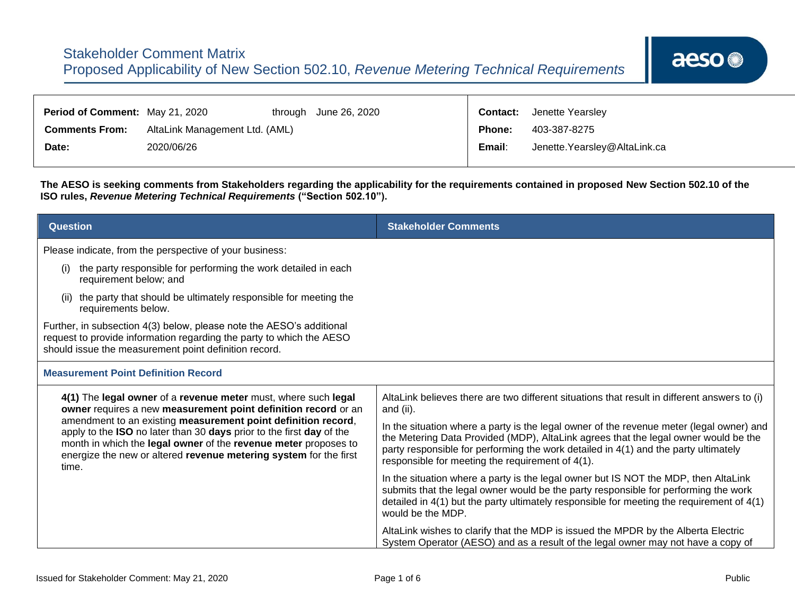| Period of Comment: May 21, 2020 |                                | through June 26, 2020 | <b>Contact:</b> | Jenette Yearsley              |
|---------------------------------|--------------------------------|-----------------------|-----------------|-------------------------------|
| <b>Comments From:</b>           | AltaLink Management Ltd. (AML) |                       | <b>Phone:</b>   | 403-387-8275                  |
| Date:                           | 2020/06/26                     |                       | Email:          | Jenette. Yearsley@AltaLink.ca |

**The AESO is seeking comments from Stakeholders regarding the applicability for the requirements contained in proposed New Section 502.10 of the ISO rules,** *Revenue Metering Technical Requirements* **("Section 502.10").**

| Question                                                                                                                                                                                                                                                                               | <b>Stakeholder Comments</b>                                                                                                                                                                                                                                                                                                |
|----------------------------------------------------------------------------------------------------------------------------------------------------------------------------------------------------------------------------------------------------------------------------------------|----------------------------------------------------------------------------------------------------------------------------------------------------------------------------------------------------------------------------------------------------------------------------------------------------------------------------|
| Please indicate, from the perspective of your business:                                                                                                                                                                                                                                |                                                                                                                                                                                                                                                                                                                            |
| the party responsible for performing the work detailed in each<br>(i)<br>requirement below; and                                                                                                                                                                                        |                                                                                                                                                                                                                                                                                                                            |
| the party that should be ultimately responsible for meeting the<br>requirements below.                                                                                                                                                                                                 |                                                                                                                                                                                                                                                                                                                            |
| Further, in subsection 4(3) below, please note the AESO's additional<br>request to provide information regarding the party to which the AESO<br>should issue the measurement point definition record.                                                                                  |                                                                                                                                                                                                                                                                                                                            |
| <b>Measurement Point Definition Record</b>                                                                                                                                                                                                                                             |                                                                                                                                                                                                                                                                                                                            |
| 4(1) The legal owner of a revenue meter must, where such legal<br>owner requires a new measurement point definition record or an                                                                                                                                                       | AltaLink believes there are two different situations that result in different answers to (i)<br>and (ii).                                                                                                                                                                                                                  |
| amendment to an existing measurement point definition record,<br>apply to the ISO no later than 30 days prior to the first day of the<br>month in which the legal owner of the revenue meter proposes to<br>energize the new or altered revenue metering system for the first<br>time. | In the situation where a party is the legal owner of the revenue meter (legal owner) and<br>the Metering Data Provided (MDP), AltaLink agrees that the legal owner would be the<br>party responsible for performing the work detailed in 4(1) and the party ultimately<br>responsible for meeting the requirement of 4(1). |
|                                                                                                                                                                                                                                                                                        | In the situation where a party is the legal owner but IS NOT the MDP, then AltaLink<br>submits that the legal owner would be the party responsible for performing the work<br>detailed in $4(1)$ but the party ultimately responsible for meeting the requirement of $4(1)$<br>would be the MDP.                           |
|                                                                                                                                                                                                                                                                                        | AltaLink wishes to clarify that the MDP is issued the MPDR by the Alberta Electric<br>System Operator (AESO) and as a result of the legal owner may not have a copy of                                                                                                                                                     |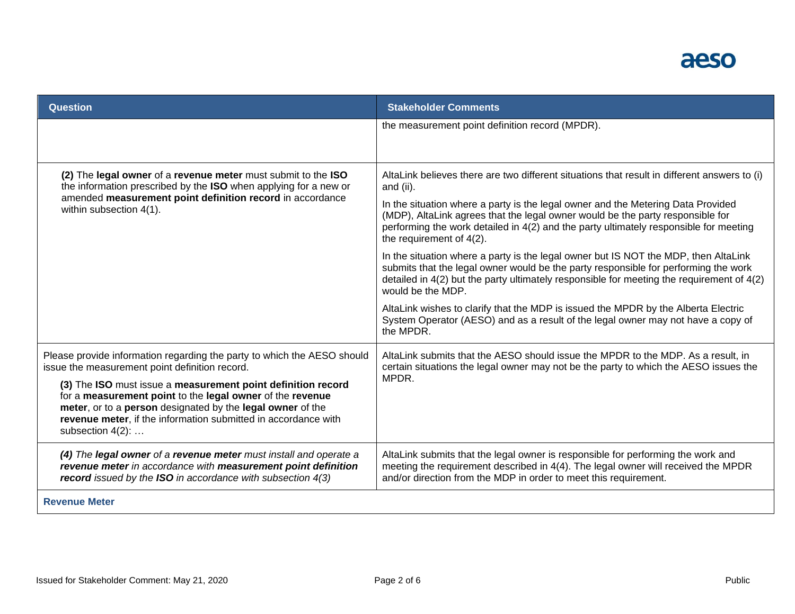## aeso

| <b>Question</b>                                                                                                                                                                                                                                                                                                                                                                                               | <b>Stakeholder Comments</b>                                                                                                                                                                                                                                                                                                                                                                                                                                                                                                                                                                                                                                                            |
|---------------------------------------------------------------------------------------------------------------------------------------------------------------------------------------------------------------------------------------------------------------------------------------------------------------------------------------------------------------------------------------------------------------|----------------------------------------------------------------------------------------------------------------------------------------------------------------------------------------------------------------------------------------------------------------------------------------------------------------------------------------------------------------------------------------------------------------------------------------------------------------------------------------------------------------------------------------------------------------------------------------------------------------------------------------------------------------------------------------|
|                                                                                                                                                                                                                                                                                                                                                                                                               | the measurement point definition record (MPDR).                                                                                                                                                                                                                                                                                                                                                                                                                                                                                                                                                                                                                                        |
| (2) The legal owner of a revenue meter must submit to the ISO<br>the information prescribed by the ISO when applying for a new or<br>amended measurement point definition record in accordance<br>within subsection 4(1).                                                                                                                                                                                     | AltaLink believes there are two different situations that result in different answers to (i)<br>and (ii).<br>In the situation where a party is the legal owner and the Metering Data Provided<br>(MDP), AltaLink agrees that the legal owner would be the party responsible for<br>performing the work detailed in 4(2) and the party ultimately responsible for meeting<br>the requirement of $4(2)$ .<br>In the situation where a party is the legal owner but IS NOT the MDP, then AltaLink<br>submits that the legal owner would be the party responsible for performing the work<br>detailed in $4(2)$ but the party ultimately responsible for meeting the requirement of $4(2)$ |
|                                                                                                                                                                                                                                                                                                                                                                                                               | would be the MDP.<br>AltaLink wishes to clarify that the MDP is issued the MPDR by the Alberta Electric<br>System Operator (AESO) and as a result of the legal owner may not have a copy of<br>the MPDR.                                                                                                                                                                                                                                                                                                                                                                                                                                                                               |
| Please provide information regarding the party to which the AESO should<br>issue the measurement point definition record.<br>(3) The ISO must issue a measurement point definition record<br>for a measurement point to the legal owner of the revenue<br>meter, or to a person designated by the legal owner of the<br>revenue meter, if the information submitted in accordance with<br>subsection $4(2)$ : | AltaLink submits that the AESO should issue the MPDR to the MDP. As a result, in<br>certain situations the legal owner may not be the party to which the AESO issues the<br>MPDR.                                                                                                                                                                                                                                                                                                                                                                                                                                                                                                      |
| (4) The legal owner of a revenue meter must install and operate a<br>revenue meter in accordance with measurement point definition<br>record issued by the ISO in accordance with subsection $4(3)$                                                                                                                                                                                                           | AltaLink submits that the legal owner is responsible for performing the work and<br>meeting the requirement described in 4(4). The legal owner will received the MPDR<br>and/or direction from the MDP in order to meet this requirement.                                                                                                                                                                                                                                                                                                                                                                                                                                              |
| <b>Revenue Meter</b>                                                                                                                                                                                                                                                                                                                                                                                          |                                                                                                                                                                                                                                                                                                                                                                                                                                                                                                                                                                                                                                                                                        |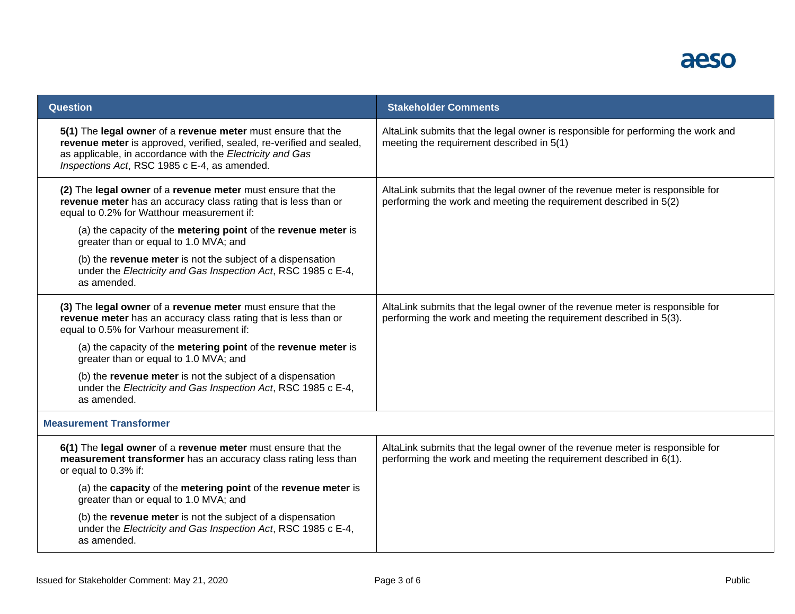

| <b>Question</b>                                                                                                                                                                                                                                   | <b>Stakeholder Comments</b>                                                                                                                         |
|---------------------------------------------------------------------------------------------------------------------------------------------------------------------------------------------------------------------------------------------------|-----------------------------------------------------------------------------------------------------------------------------------------------------|
| 5(1) The legal owner of a revenue meter must ensure that the<br>revenue meter is approved, verified, sealed, re-verified and sealed,<br>as applicable, in accordance with the Electricity and Gas<br>Inspections Act, RSC 1985 c E-4, as amended. | AltaLink submits that the legal owner is responsible for performing the work and<br>meeting the requirement described in 5(1)                       |
| (2) The legal owner of a revenue meter must ensure that the<br>revenue meter has an accuracy class rating that is less than or<br>equal to 0.2% for Watthour measurement if:                                                                      | AltaLink submits that the legal owner of the revenue meter is responsible for<br>performing the work and meeting the requirement described in 5(2)  |
| (a) the capacity of the metering point of the revenue meter is<br>greater than or equal to 1.0 MVA; and                                                                                                                                           |                                                                                                                                                     |
| (b) the revenue meter is not the subject of a dispensation<br>under the Electricity and Gas Inspection Act, RSC 1985 c E-4,<br>as amended.                                                                                                        |                                                                                                                                                     |
| (3) The legal owner of a revenue meter must ensure that the<br>revenue meter has an accuracy class rating that is less than or<br>equal to 0.5% for Varhour measurement if:                                                                       | AltaLink submits that the legal owner of the revenue meter is responsible for<br>performing the work and meeting the requirement described in 5(3). |
| (a) the capacity of the metering point of the revenue meter is<br>greater than or equal to 1.0 MVA; and                                                                                                                                           |                                                                                                                                                     |
| (b) the revenue meter is not the subject of a dispensation<br>under the Electricity and Gas Inspection Act, RSC 1985 c E-4,<br>as amended.                                                                                                        |                                                                                                                                                     |
| <b>Measurement Transformer</b>                                                                                                                                                                                                                    |                                                                                                                                                     |
| 6(1) The legal owner of a revenue meter must ensure that the<br>measurement transformer has an accuracy class rating less than<br>or equal to 0.3% if:                                                                                            | AltaLink submits that the legal owner of the revenue meter is responsible for<br>performing the work and meeting the requirement described in 6(1). |
| (a) the capacity of the metering point of the revenue meter is<br>greater than or equal to 1.0 MVA; and                                                                                                                                           |                                                                                                                                                     |
| (b) the revenue meter is not the subject of a dispensation<br>under the Electricity and Gas Inspection Act, RSC 1985 c E-4,<br>as amended.                                                                                                        |                                                                                                                                                     |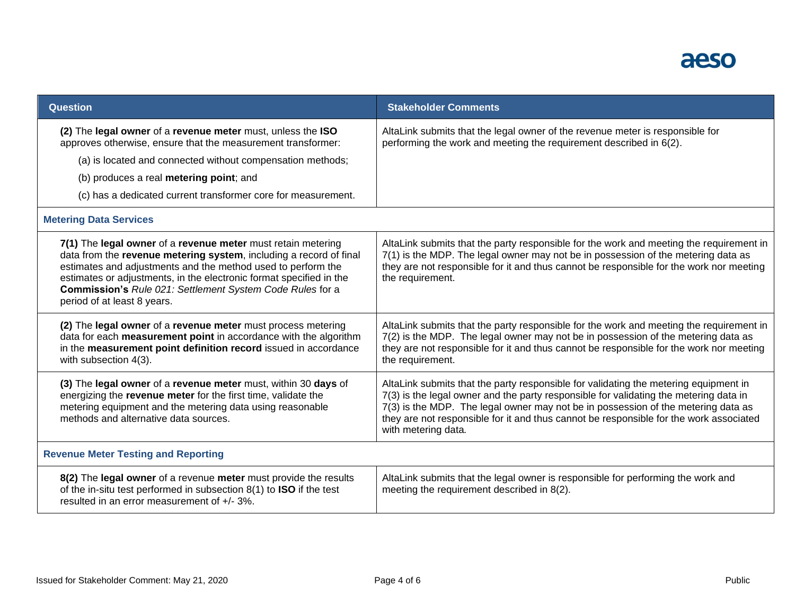## aeso

| <b>Question</b>                                                                                                                                                                                                                                                                                                                                                       | <b>Stakeholder Comments</b>                                                                                                                                                                                                                                                                                                                                                         |  |
|-----------------------------------------------------------------------------------------------------------------------------------------------------------------------------------------------------------------------------------------------------------------------------------------------------------------------------------------------------------------------|-------------------------------------------------------------------------------------------------------------------------------------------------------------------------------------------------------------------------------------------------------------------------------------------------------------------------------------------------------------------------------------|--|
| (2) The legal owner of a revenue meter must, unless the ISO<br>approves otherwise, ensure that the measurement transformer:                                                                                                                                                                                                                                           | AltaLink submits that the legal owner of the revenue meter is responsible for<br>performing the work and meeting the requirement described in 6(2).                                                                                                                                                                                                                                 |  |
| (a) is located and connected without compensation methods;                                                                                                                                                                                                                                                                                                            |                                                                                                                                                                                                                                                                                                                                                                                     |  |
| (b) produces a real metering point; and                                                                                                                                                                                                                                                                                                                               |                                                                                                                                                                                                                                                                                                                                                                                     |  |
| (c) has a dedicated current transformer core for measurement.                                                                                                                                                                                                                                                                                                         |                                                                                                                                                                                                                                                                                                                                                                                     |  |
| <b>Metering Data Services</b>                                                                                                                                                                                                                                                                                                                                         |                                                                                                                                                                                                                                                                                                                                                                                     |  |
| 7(1) The legal owner of a revenue meter must retain metering<br>data from the revenue metering system, including a record of final<br>estimates and adjustments and the method used to perform the<br>estimates or adjustments, in the electronic format specified in the<br>Commission's Rule 021: Settlement System Code Rules for a<br>period of at least 8 years. | AltaLink submits that the party responsible for the work and meeting the requirement in<br>7(1) is the MDP. The legal owner may not be in possession of the metering data as<br>they are not responsible for it and thus cannot be responsible for the work nor meeting<br>the requirement.                                                                                         |  |
| (2) The legal owner of a revenue meter must process metering<br>data for each measurement point in accordance with the algorithm<br>in the measurement point definition record issued in accordance<br>with subsection 4(3).                                                                                                                                          | AltaLink submits that the party responsible for the work and meeting the requirement in<br>7(2) is the MDP. The legal owner may not be in possession of the metering data as<br>they are not responsible for it and thus cannot be responsible for the work nor meeting<br>the requirement.                                                                                         |  |
| (3) The legal owner of a revenue meter must, within 30 days of<br>energizing the revenue meter for the first time, validate the<br>metering equipment and the metering data using reasonable<br>methods and alternative data sources.                                                                                                                                 | AltaLink submits that the party responsible for validating the metering equipment in<br>7(3) is the legal owner and the party responsible for validating the metering data in<br>7(3) is the MDP. The legal owner may not be in possession of the metering data as<br>they are not responsible for it and thus cannot be responsible for the work associated<br>with metering data. |  |
| <b>Revenue Meter Testing and Reporting</b>                                                                                                                                                                                                                                                                                                                            |                                                                                                                                                                                                                                                                                                                                                                                     |  |
| 8(2) The legal owner of a revenue meter must provide the results<br>of the in-situ test performed in subsection 8(1) to ISO if the test<br>resulted in an error measurement of +/- 3%.                                                                                                                                                                                | AltaLink submits that the legal owner is responsible for performing the work and<br>meeting the requirement described in 8(2).                                                                                                                                                                                                                                                      |  |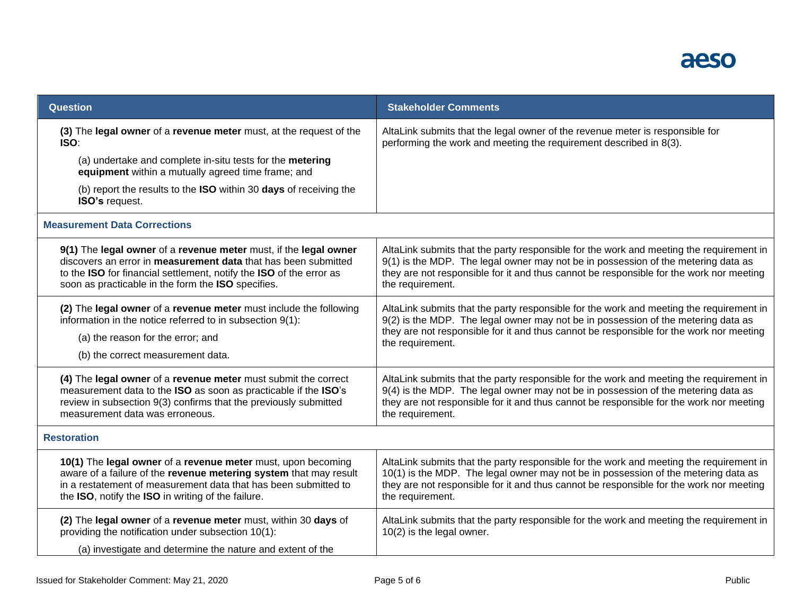| Question                                                                                                                                                                                                                                                        | <b>Stakeholder Comments</b>                                                                                                                                                                                                                                                                  |
|-----------------------------------------------------------------------------------------------------------------------------------------------------------------------------------------------------------------------------------------------------------------|----------------------------------------------------------------------------------------------------------------------------------------------------------------------------------------------------------------------------------------------------------------------------------------------|
| (3) The legal owner of a revenue meter must, at the request of the<br>ISO:                                                                                                                                                                                      | AltaLink submits that the legal owner of the revenue meter is responsible for<br>performing the work and meeting the requirement described in 8(3).                                                                                                                                          |
| (a) undertake and complete in-situ tests for the metering<br>equipment within a mutually agreed time frame; and                                                                                                                                                 |                                                                                                                                                                                                                                                                                              |
| (b) report the results to the ISO within 30 days of receiving the<br>ISO's request.                                                                                                                                                                             |                                                                                                                                                                                                                                                                                              |
| <b>Measurement Data Corrections</b>                                                                                                                                                                                                                             |                                                                                                                                                                                                                                                                                              |
| 9(1) The legal owner of a revenue meter must, if the legal owner<br>discovers an error in measurement data that has been submitted<br>to the ISO for financial settlement, notify the ISO of the error as<br>soon as practicable in the form the ISO specifies. | AltaLink submits that the party responsible for the work and meeting the requirement in<br>9(1) is the MDP. The legal owner may not be in possession of the metering data as<br>they are not responsible for it and thus cannot be responsible for the work nor meeting<br>the requirement.  |
| (2) The legal owner of a revenue meter must include the following<br>information in the notice referred to in subsection 9(1):<br>(a) the reason for the error; and<br>(b) the correct measurement data.                                                        | AltaLink submits that the party responsible for the work and meeting the requirement in<br>9(2) is the MDP. The legal owner may not be in possession of the metering data as<br>they are not responsible for it and thus cannot be responsible for the work nor meeting<br>the requirement.  |
| (4) The legal owner of a revenue meter must submit the correct<br>measurement data to the ISO as soon as practicable if the ISO's<br>review in subsection 9(3) confirms that the previously submitted<br>measurement data was erroneous.                        | AltaLink submits that the party responsible for the work and meeting the requirement in<br>9(4) is the MDP. The legal owner may not be in possession of the metering data as<br>they are not responsible for it and thus cannot be responsible for the work nor meeting<br>the requirement.  |
| <b>Restoration</b>                                                                                                                                                                                                                                              |                                                                                                                                                                                                                                                                                              |
| 10(1) The legal owner of a revenue meter must, upon becoming<br>aware of a failure of the revenue metering system that may result<br>in a restatement of measurement data that has been submitted to<br>the ISO, notify the ISO in writing of the failure.      | AltaLink submits that the party responsible for the work and meeting the requirement in<br>10(1) is the MDP. The legal owner may not be in possession of the metering data as<br>they are not responsible for it and thus cannot be responsible for the work nor meeting<br>the requirement. |
| (2) The legal owner of a revenue meter must, within 30 days of<br>providing the notification under subsection 10(1):<br>(a) investigate and determine the nature and extent of the                                                                              | AltaLink submits that the party responsible for the work and meeting the requirement in<br>10(2) is the legal owner.                                                                                                                                                                         |